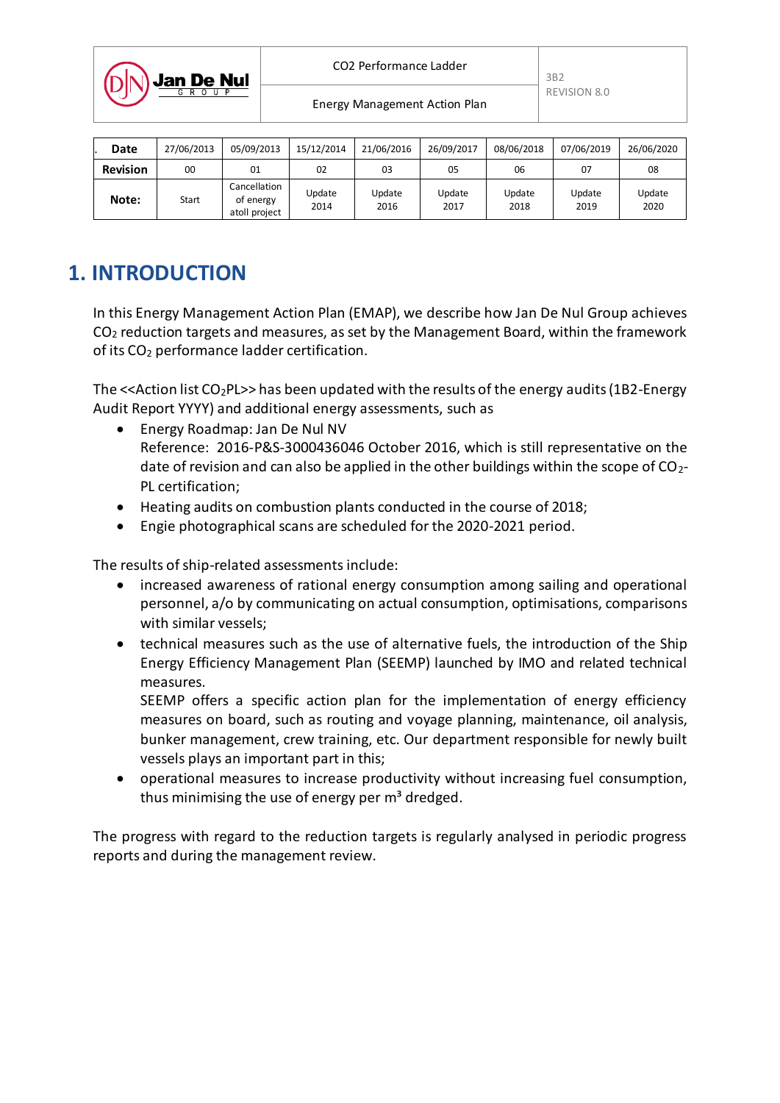

Energy Management Action Plan

| Date            | 27/06/2013 | 05/09/2013                                 | 15/12/2014     | 21/06/2016     | 26/09/2017     | 08/06/2018     | 07/06/2019     | 26/06/2020     |
|-----------------|------------|--------------------------------------------|----------------|----------------|----------------|----------------|----------------|----------------|
| <b>Revision</b> | 00         | 01                                         | 02             | 03             | 05             | 06             | 07             | 08             |
| Note:           | Start      | Cancellation<br>of energy<br>atoll project | Update<br>2014 | Update<br>2016 | Update<br>2017 | Update<br>2018 | Update<br>2019 | Update<br>2020 |

# **1. INTRODUCTION**

In this Energy Management Action Plan (EMAP), we describe how Jan De Nul Group achieves  $CO<sub>2</sub>$  reduction targets and measures, as set by the Management Board, within the framework of its CO<sup>2</sup> performance ladder certification.

The  $\leq$  Action list CO<sub>2</sub>PL>> has been updated with the results of the energy audits (1B2-Energy Audit Report YYYY) and additional energy assessments, such as

- Energy Roadmap: Jan De Nul NV Reference: 2016-P&S-3000436046 October 2016, which is still representative on the date of revision and can also be applied in the other buildings within the scope of  $CO<sub>2</sub>$ PL certification;
- Heating audits on combustion plants conducted in the course of 2018;
- Engie photographical scans are scheduled for the 2020-2021 period.

The results of ship-related assessments include:

- increased awareness of rational energy consumption among sailing and operational personnel, a/o by communicating on actual consumption, optimisations, comparisons with similar vessels;
- technical measures such as the use of alternative fuels, the introduction of the Ship Energy Efficiency Management Plan (SEEMP) launched by IMO and related technical measures.

SEEMP offers a specific action plan for the implementation of energy efficiency measures on board, such as routing and voyage planning, maintenance, oil analysis, bunker management, crew training, etc. Our department responsible for newly built vessels plays an important part in this;

 operational measures to increase productivity without increasing fuel consumption, thus minimising the use of energy per m<sup>3</sup> dredged.

The progress with regard to the reduction targets is regularly analysed in periodic progress reports and during the management review.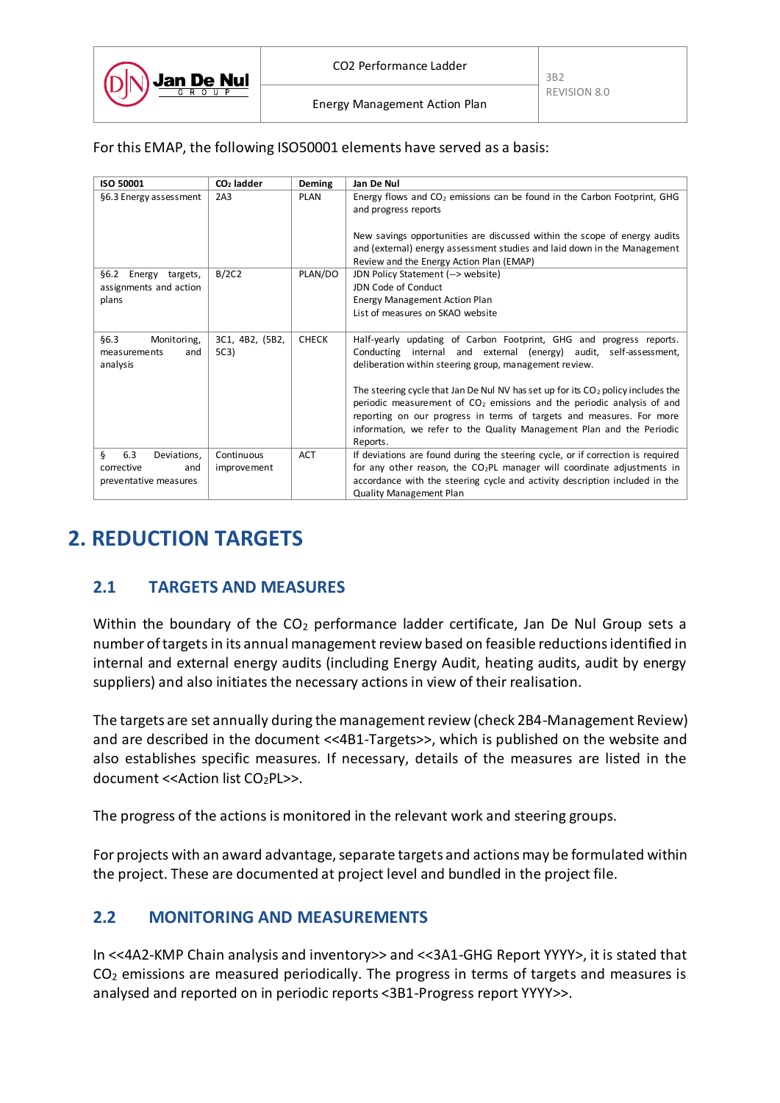Energy Management Action Plan

For this EMAP, the following ISO50001 elements have served as a basis:

| <b>ISO 50001</b>                | $CO2$ ladder    | Deming       | Jan De Nul                                                                                                                                            |
|---------------------------------|-----------------|--------------|-------------------------------------------------------------------------------------------------------------------------------------------------------|
| §6.3 Energy assessment          | 2A <sub>3</sub> | PLAN         | Energy flows and $CO2$ emissions can be found in the Carbon Footprint, GHG                                                                            |
|                                 |                 |              | and progress reports                                                                                                                                  |
|                                 |                 |              |                                                                                                                                                       |
|                                 |                 |              | New savings opportunities are discussed within the scope of energy audits<br>and (external) energy assessment studies and laid down in the Management |
|                                 |                 |              | Review and the Energy Action Plan (EMAP)                                                                                                              |
| <b>66.2</b><br>Energy targets,  | B/2C2           | PLAN/DO      | JDN Policy Statement (--> website)                                                                                                                    |
| assignments and action          |                 |              | JDN Code of Conduct                                                                                                                                   |
| plans                           |                 |              | <b>Energy Management Action Plan</b>                                                                                                                  |
|                                 |                 |              | List of measures on SKAO website                                                                                                                      |
|                                 |                 |              |                                                                                                                                                       |
| §6.3<br>Monitoring,             | 3C1, 4B2, (5B2, | <b>CHECK</b> | Half-yearly updating of Carbon Footprint, GHG and progress reports.                                                                                   |
| measurements<br>and<br>analysis | 5C3)            |              | Conducting internal and external (energy) audit, self-assessment,<br>deliberation within steering group, management review.                           |
|                                 |                 |              |                                                                                                                                                       |
|                                 |                 |              | The steering cycle that Jan De Nul NV has set up for its $CO2$ policy includes the                                                                    |
|                                 |                 |              | periodic measurement of $CO2$ emissions and the periodic analysis of and                                                                              |
|                                 |                 |              | reporting on our progress in terms of targets and measures. For more                                                                                  |
|                                 |                 |              | information, we refer to the Quality Management Plan and the Periodic                                                                                 |
|                                 |                 |              | Reports.                                                                                                                                              |
| ş<br>6.3<br>Deviations,         | Continuous      | <b>ACT</b>   | If deviations are found during the steering cycle, or if correction is required                                                                       |
| corrective<br>and               | improvement     |              | for any other reason, the $CO2PL$ manager will coordinate adjustments in                                                                              |
| preventative measures           |                 |              | accordance with the steering cycle and activity description included in the                                                                           |
|                                 |                 |              | <b>Quality Management Plan</b>                                                                                                                        |

## **2. REDUCTION TARGETS**

#### **2.1 TARGETS AND MEASURES**

Within the boundary of the  $CO<sub>2</sub>$  performance ladder certificate, Jan De Nul Group sets a number of targets in its annual management review based on feasible reductions identified in internal and external energy audits (including Energy Audit, heating audits, audit by energy suppliers) and also initiates the necessary actions in view of their realisation.

The targets are set annually during the management review (check 2B4-Management Review) and are described in the document <<4B1-Targets>>, which is published on the website and also establishes specific measures. If necessary, details of the measures are listed in the document << Action list CO<sub>2</sub>PL>>.

The progress of the actions is monitored in the relevant work and steering groups.

For projects with an award advantage, separate targets and actions may be formulated within the project. These are documented at project level and bundled in the project file.

#### **2.2 MONITORING AND MEASUREMENTS**

In <<4A2-KMP Chain analysis and inventory>> and <<3A1-GHG Report YYYY>, it is stated that  $CO<sub>2</sub>$  emissions are measured periodically. The progress in terms of targets and measures is analysed and reported on in periodic reports <3B1-Progress report YYYY>>.